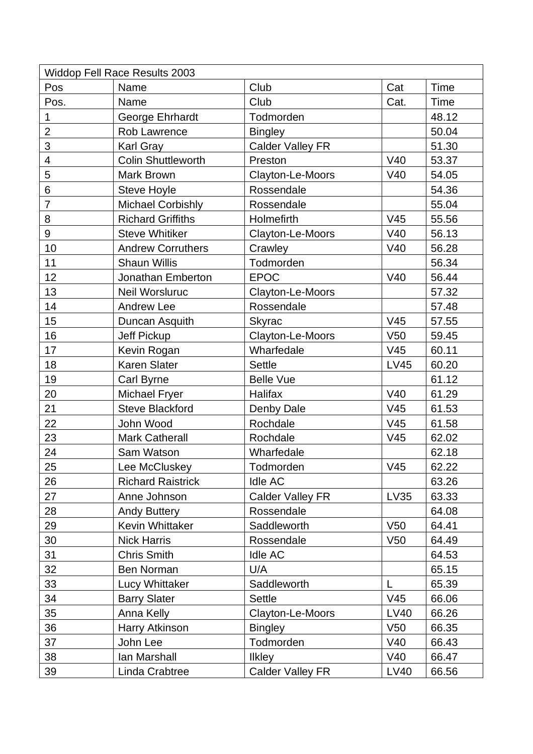| <b>Widdop Fell Race Results 2003</b> |                           |                         |                 |       |  |  |  |
|--------------------------------------|---------------------------|-------------------------|-----------------|-------|--|--|--|
| Pos                                  | Name                      | Club                    | Cat             | Time  |  |  |  |
| Pos.                                 | Name                      | Club                    | Cat.            | Time  |  |  |  |
| 1                                    | George Ehrhardt           | Todmorden               |                 | 48.12 |  |  |  |
| $\overline{2}$                       | Rob Lawrence              | <b>Bingley</b>          |                 | 50.04 |  |  |  |
| 3                                    | Karl Gray                 | <b>Calder Valley FR</b> |                 | 51.30 |  |  |  |
| $\overline{\mathcal{A}}$             | <b>Colin Shuttleworth</b> | Preston                 | V40             | 53.37 |  |  |  |
| 5                                    | <b>Mark Brown</b>         | Clayton-Le-Moors        | V40             | 54.05 |  |  |  |
| 6                                    | <b>Steve Hoyle</b>        | Rossendale              |                 | 54.36 |  |  |  |
| $\overline{7}$                       | <b>Michael Corbishly</b>  | Rossendale              |                 | 55.04 |  |  |  |
| 8                                    | <b>Richard Griffiths</b>  | Holmefirth              | V <sub>45</sub> | 55.56 |  |  |  |
| 9                                    | <b>Steve Whitiker</b>     | Clayton-Le-Moors        | V40             | 56.13 |  |  |  |
| 10                                   | <b>Andrew Corruthers</b>  | Crawley                 | V40             | 56.28 |  |  |  |
| 11                                   | <b>Shaun Willis</b>       | Todmorden               |                 | 56.34 |  |  |  |
| 12                                   | <b>Jonathan Emberton</b>  | <b>EPOC</b>             | V40             | 56.44 |  |  |  |
| 13                                   | <b>Neil Worsluruc</b>     | Clayton-Le-Moors        |                 | 57.32 |  |  |  |
| 14                                   | <b>Andrew Lee</b>         | Rossendale              |                 | 57.48 |  |  |  |
| 15                                   | Duncan Asquith            | <b>Skyrac</b>           | V45             | 57.55 |  |  |  |
| 16                                   | <b>Jeff Pickup</b>        | Clayton-Le-Moors        | V <sub>50</sub> | 59.45 |  |  |  |
| 17                                   | Kevin Rogan               | Wharfedale              | V <sub>45</sub> | 60.11 |  |  |  |
| 18                                   | Karen Slater              | <b>Settle</b>           | <b>LV45</b>     | 60.20 |  |  |  |
| 19                                   | Carl Byrne                | <b>Belle Vue</b>        |                 | 61.12 |  |  |  |
| 20                                   | <b>Michael Fryer</b>      | Halifax                 | V40             | 61.29 |  |  |  |
| 21                                   | <b>Steve Blackford</b>    | Denby Dale              | V45             | 61.53 |  |  |  |
| 22                                   | John Wood                 | Rochdale                | V <sub>45</sub> | 61.58 |  |  |  |
| 23                                   | <b>Mark Catherall</b>     | Rochdale                | V <sub>45</sub> | 62.02 |  |  |  |
| 24                                   | Sam Watson                | Wharfedale              |                 | 62.18 |  |  |  |
| 25                                   | Lee McCluskey             | Todmorden               | V45             | 62.22 |  |  |  |
| 26                                   | <b>Richard Raistrick</b>  | <b>Idle AC</b>          |                 | 63.26 |  |  |  |
| 27                                   | Anne Johnson              | <b>Calder Valley FR</b> | LV35            | 63.33 |  |  |  |
| 28                                   | <b>Andy Buttery</b>       | Rossendale              |                 | 64.08 |  |  |  |
| 29                                   | <b>Kevin Whittaker</b>    | Saddleworth             | V <sub>50</sub> | 64.41 |  |  |  |
| 30                                   | <b>Nick Harris</b>        | Rossendale              | V <sub>50</sub> | 64.49 |  |  |  |
| 31                                   | <b>Chris Smith</b>        | <b>Idle AC</b>          |                 | 64.53 |  |  |  |
| 32                                   | Ben Norman                | U/A                     |                 | 65.15 |  |  |  |
| 33                                   | Lucy Whittaker            | Saddleworth             |                 | 65.39 |  |  |  |
| 34                                   | <b>Barry Slater</b>       | Settle                  | V <sub>45</sub> | 66.06 |  |  |  |
| 35                                   | Anna Kelly                | Clayton-Le-Moors        | LV40            | 66.26 |  |  |  |
| 36                                   | Harry Atkinson            | <b>Bingley</b>          | V <sub>50</sub> | 66.35 |  |  |  |
| 37                                   | John Lee                  | Todmorden               | V40             | 66.43 |  |  |  |
| 38                                   | lan Marshall              | <b>Ilkley</b>           | V40             | 66.47 |  |  |  |
| 39                                   | Linda Crabtree            | <b>Calder Valley FR</b> | <b>LV40</b>     | 66.56 |  |  |  |